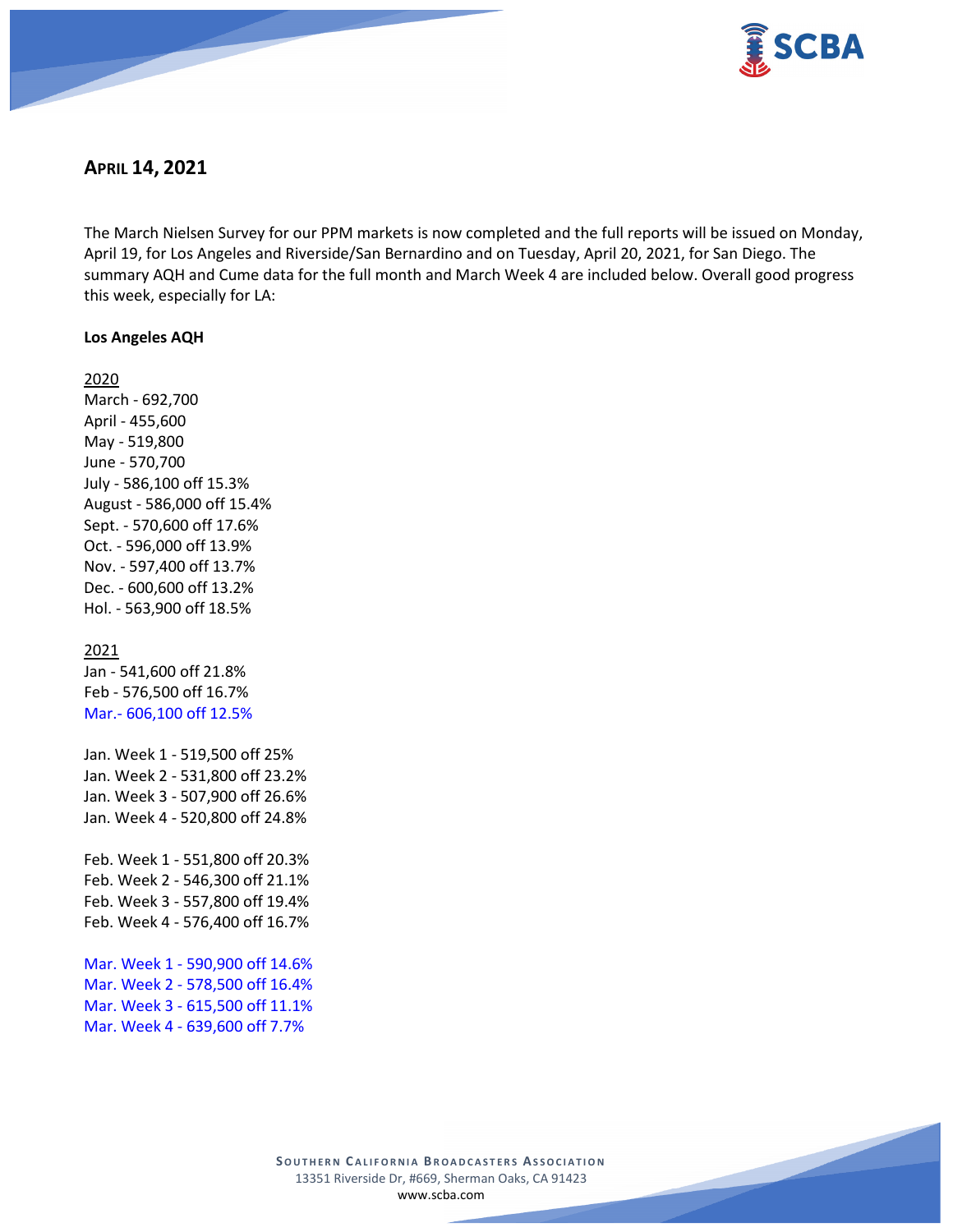

# **APRIL 14, 2021**

The March Nielsen Survey for our PPM markets is now completed and the full reports will be issued on Monday, April 19, for Los Angeles and Riverside/San Bernardino and on Tuesday, April 20, 2021, for San Diego. The summary AQH and Cume data for the full month and March Week 4 are included below. Overall good progress this week, especially for LA:

### **Los Angeles AQH**

2020 March - 692,700 April - 455,600 May - 519,800 June - 570,700 July - 586,100 off 15.3% August - 586,000 off 15.4% Sept. - 570,600 off 17.6% Oct. - 596,000 off 13.9% Nov. - 597,400 off 13.7% Dec. - 600,600 off 13.2% Hol. - 563,900 off 18.5%

2021

Jan - 541,600 off 21.8% Feb - 576,500 off 16.7% Mar.- 606,100 off 12.5%

Jan. Week 1 - 519,500 off 25% Jan. Week 2 - 531,800 off 23.2% Jan. Week 3 - 507,900 off 26.6% Jan. Week 4 - 520,800 off 24.8%

Feb. Week 1 - 551,800 off 20.3% Feb. Week 2 - 546,300 off 21.1% Feb. Week 3 - 557,800 off 19.4% Feb. Week 4 - 576,400 off 16.7%

Mar. Week 1 - 590,900 off 14.6% Mar. Week 2 - 578,500 off 16.4% Mar. Week 3 - 615,500 off 11.1% Mar. Week 4 - 639,600 off 7.7%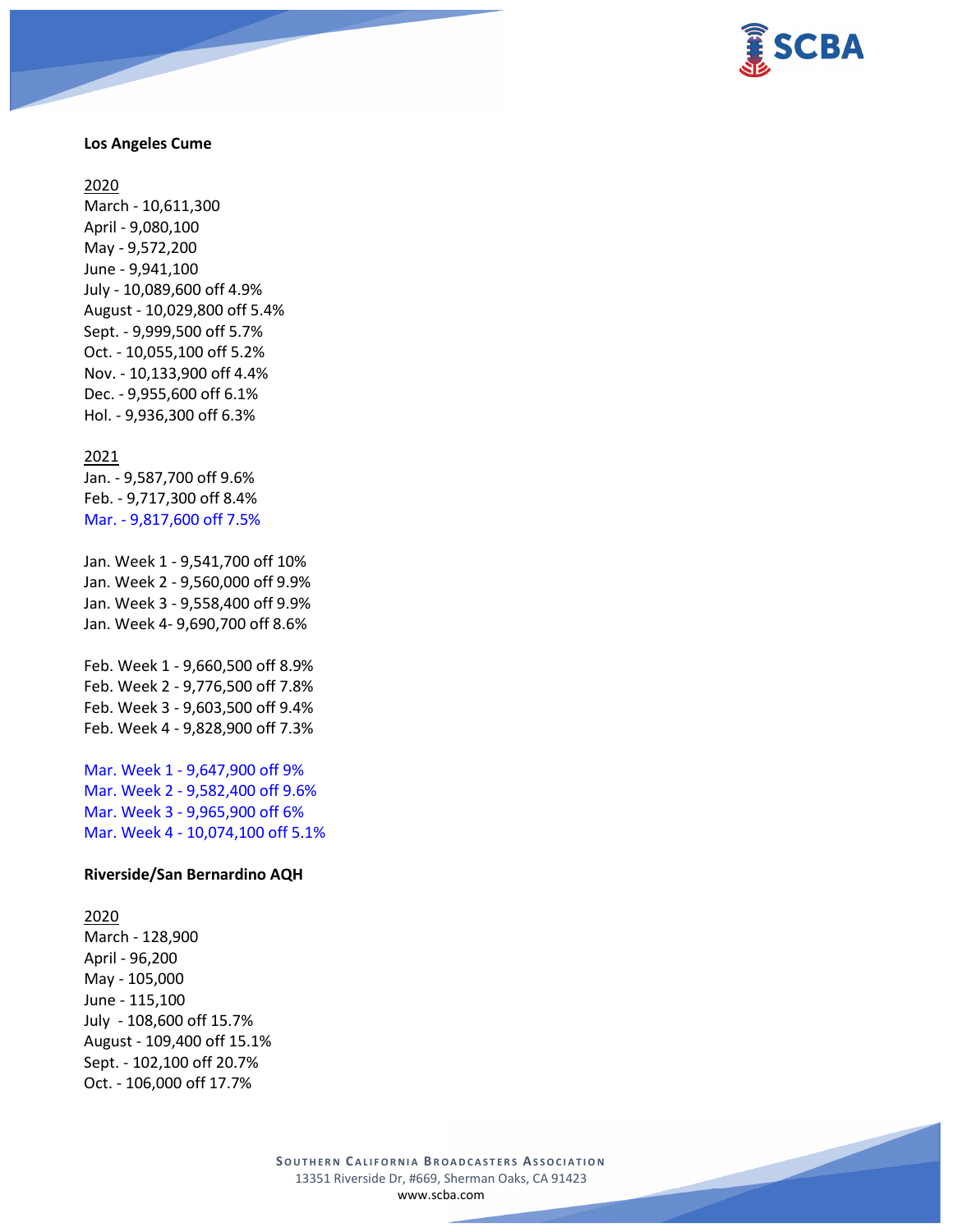

### **Los Angeles Cume**

#### 2020

March - 10,611,300 April - 9,080,100 May - 9,572,200 June - 9,941,100 July - 10,089,600 off 4.9% August - 10,029,800 off 5.4% Sept. - 9,999,500 off 5.7% Oct. - 10,055,100 off 5.2% Nov. - 10,133,900 off 4.4% Dec. - 9,955,600 off 6.1% Hol. - 9,936,300 off 6.3%

#### 2021

Jan. - 9,587,700 off 9.6% Feb. - 9,717,300 off 8.4% Mar. - 9,817,600 off 7.5%

Jan. Week 1 - 9,541,700 off 10% Jan. Week 2 - 9,560,000 off 9.9% Jan. Week 3 - 9,558,400 off 9.9% Jan. Week 4- 9,690,700 off 8.6%

Feb. Week 1 - 9,660,500 off 8.9% Feb. Week 2 - 9,776,500 off 7.8% Feb. Week 3 - 9,603,500 off 9.4% Feb. Week 4 - 9,828,900 off 7.3%

Mar. Week 1 - 9,647,900 off 9% Mar. Week 2 - 9,582,400 off 9.6% Mar. Week 3 - 9,965,900 off 6% Mar. Week 4 - 10,074,100 off 5.1%

### **Riverside/San Bernardino AQH**

#### 2020

March - 128,900 April - 96,200 May - 105,000 June - 115,100 July - 108,600 off 15.7% August - 109,400 off 15.1% Sept. - 102,100 off 20.7% Oct. - 106,000 off 17.7%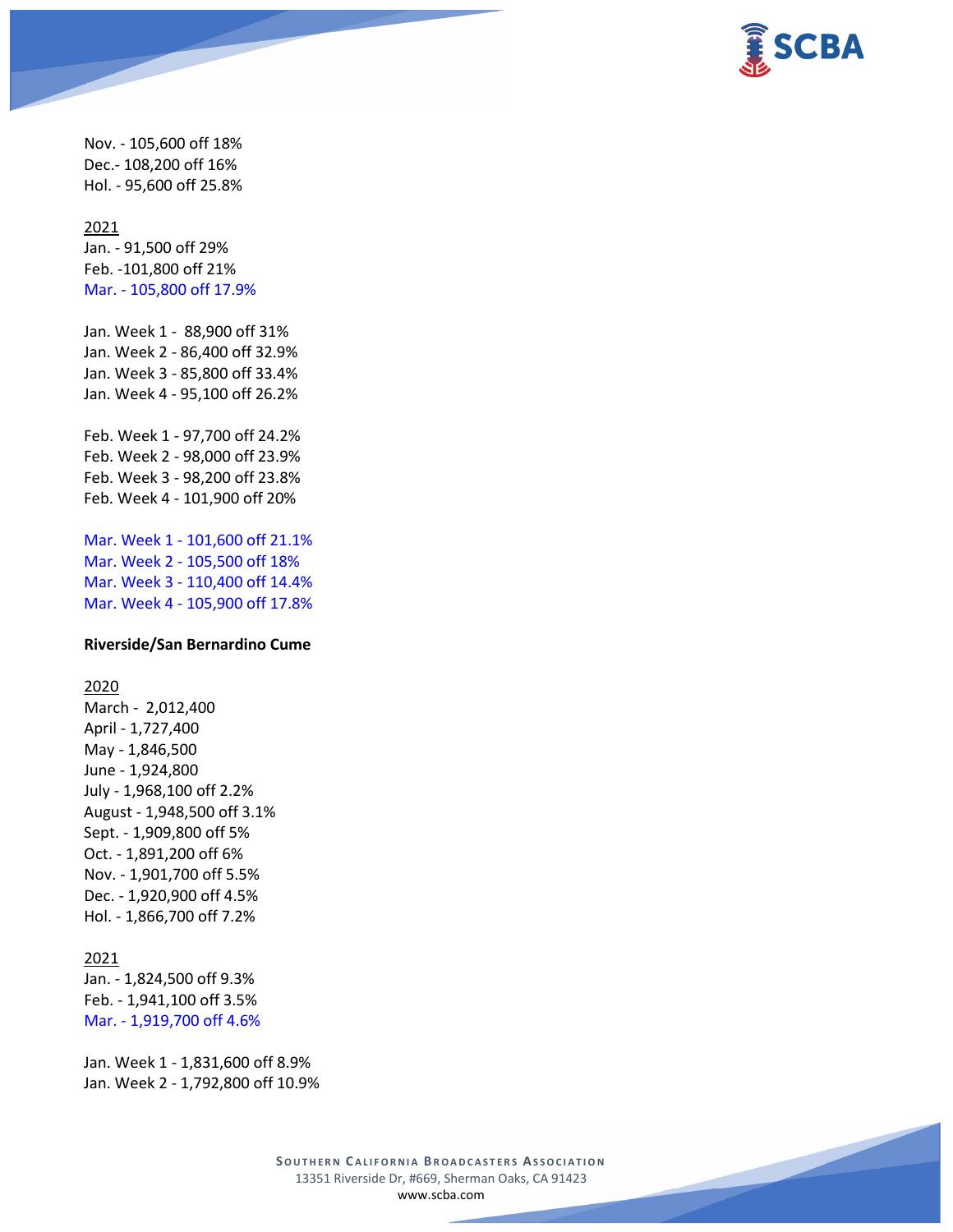

Nov. - 105,600 off 18% Dec.- 108,200 off 16% Hol. - 95,600 off 25.8%

## 2021

Jan. - 91,500 off 29% Feb. -101,800 off 21% Mar. - 105,800 off 17.9%

Jan. Week 1 - 88,900 off 31% Jan. Week 2 - 86,400 off 32.9% Jan. Week 3 - 85,800 off 33.4% Jan. Week 4 - 95,100 off 26.2%

Feb. Week 1 - 97,700 off 24.2% Feb. Week 2 - 98,000 off 23.9% Feb. Week 3 - 98,200 off 23.8% Feb. Week 4 - 101,900 off 20%

Mar. Week 1 - 101,600 off 21.1% Mar. Week 2 - 105,500 off 18% Mar. Week 3 - 110,400 off 14.4% Mar. Week 4 - 105,900 off 17.8%

#### **Riverside/San Bernardino Cume**

2020

March - 2,012,400 April - 1,727,400 May - 1,846,500 June - 1,924,800 July - 1,968,100 off 2.2% August - 1,948,500 off 3.1% Sept. - 1,909,800 off 5% Oct. - 1,891,200 off 6% Nov. - 1,901,700 off 5.5% Dec. - 1,920,900 off 4.5% Hol. - 1,866,700 off 7.2%

#### 2021

Jan. - 1,824,500 off 9.3% Feb. - 1,941,100 off 3.5% Mar. - 1,919,700 off 4.6%

Jan. Week 1 - 1,831,600 off 8.9% Jan. Week 2 - 1,792,800 off 10.9%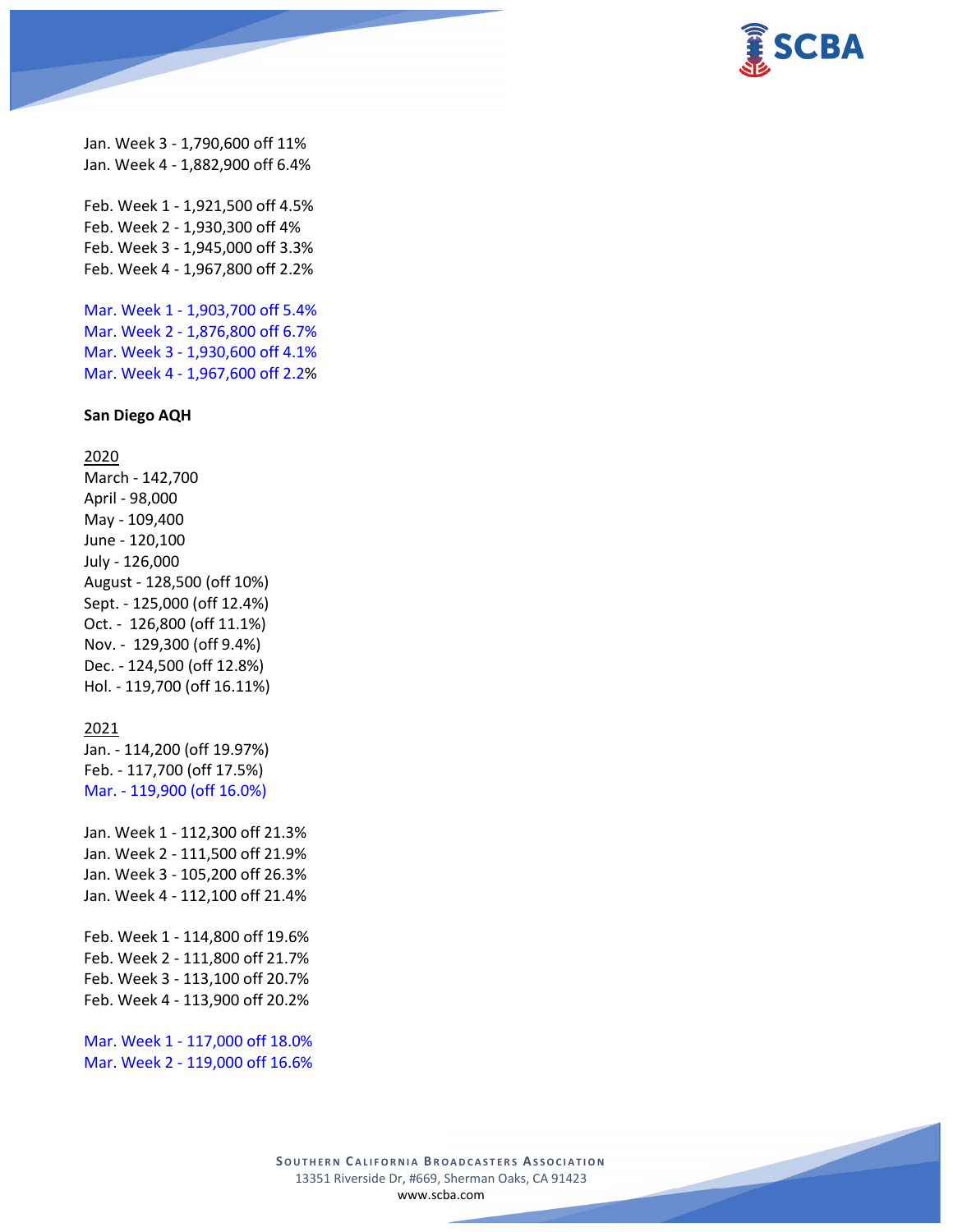

Jan. Week 3 - 1,790,600 off 11% Jan. Week 4 - 1,882,900 off 6.4%

Feb. Week 1 - 1,921,500 off 4.5% Feb. Week 2 - 1,930,300 off 4% Feb. Week 3 - 1,945,000 off 3.3% Feb. Week 4 - 1,967,800 off 2.2%

Mar. Week 1 - 1,903,700 off 5.4% Mar. Week 2 - 1,876,800 off 6.7% Mar. Week 3 - 1,930,600 off 4.1% Mar. Week 4 - 1,967,600 off 2.2%

#### **San Diego AQH**

#### 2020

March - 142,700 April - 98,000 May - 109,400 June - 120,100 July - 126,000 August - 128,500 (off 10%) Sept. - 125,000 (off 12.4%) Oct. - 126,800 (off 11.1%) Nov. - 129,300 (off 9.4%) Dec. - 124,500 (off 12.8%) Hol. - 119,700 (off 16.11%)

#### 2021

Jan. - 114,200 (off 19.97%) Feb. - 117,700 (off 17.5%) Mar. - 119,900 (off 16.0%)

Jan. Week 1 - 112,300 off 21.3% Jan. Week 2 - 111,500 off 21.9% Jan. Week 3 - 105,200 off 26.3% Jan. Week 4 - 112,100 off 21.4%

Feb. Week 1 - 114,800 off 19.6% Feb. Week 2 - 111,800 off 21.7% Feb. Week 3 - 113,100 off 20.7% Feb. Week 4 - 113,900 off 20.2%

Mar. Week 1 - 117,000 off 18.0% Mar. Week 2 - 119,000 off 16.6%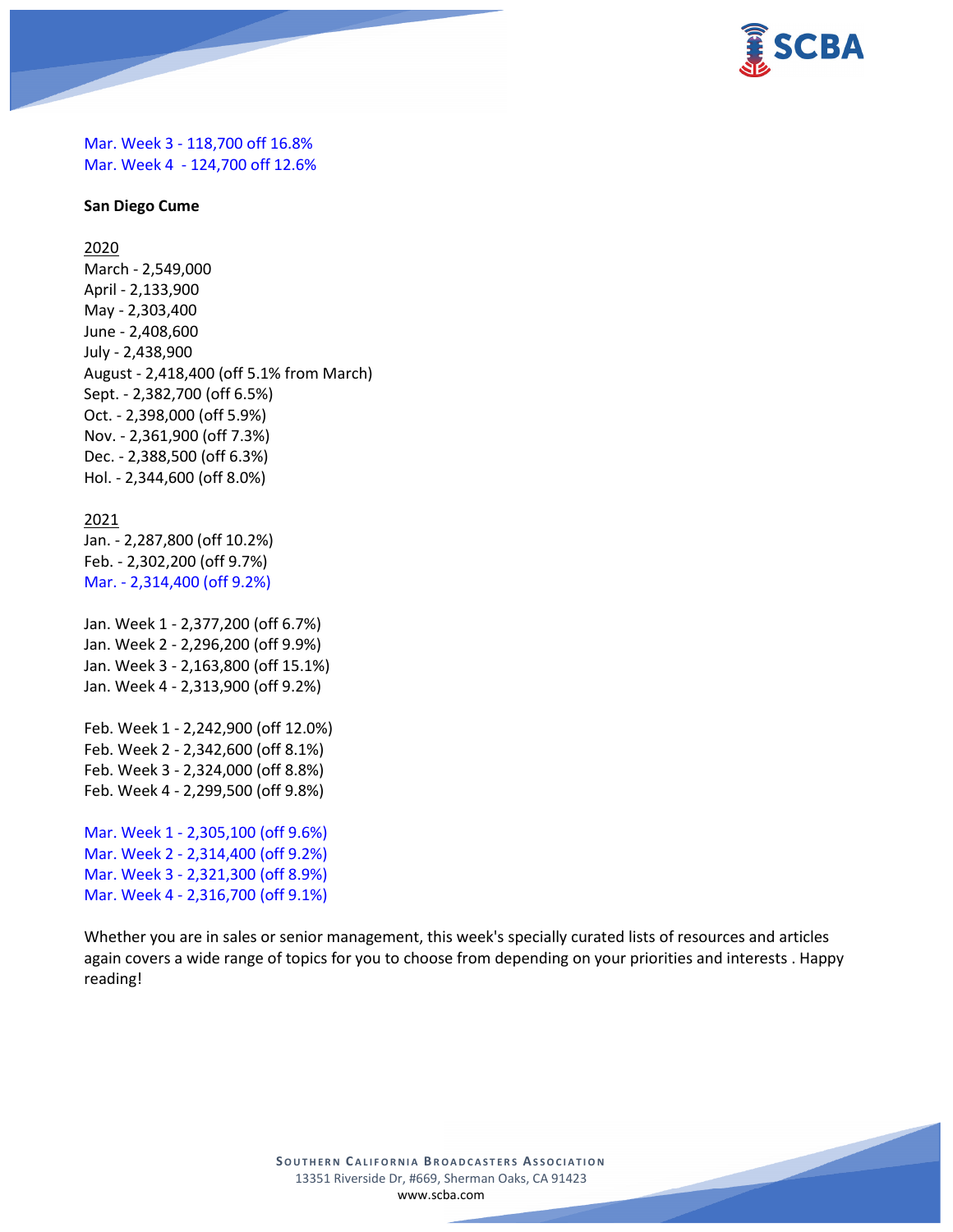

### Mar. Week 3 - 118,700 off 16.8% Mar. Week 4 - 124,700 off 12.6%

#### **San Diego Cume**

2020

March - 2,549,000 April - 2,133,900 May - 2,303,400 June - 2,408,600 July - 2,438,900 August - 2,418,400 (off 5.1% from March) Sept. - 2,382,700 (off 6.5%) Oct. - 2,398,000 (off 5.9%) Nov. - 2,361,900 (off 7.3%) Dec. - 2,388,500 (off 6.3%) Hol. - 2,344,600 (off 8.0%)

#### 2021

Jan. - 2,287,800 (off 10.2%) Feb. - 2,302,200 (off 9.7%) Mar. - 2,314,400 (off 9.2%)

Jan. Week 1 - 2,377,200 (off 6.7%) Jan. Week 2 - 2,296,200 (off 9.9%) Jan. Week 3 - 2,163,800 (off 15.1%) Jan. Week 4 - 2,313,900 (off 9.2%)

Feb. Week 1 - 2,242,900 (off 12.0%) Feb. Week 2 - 2,342,600 (off 8.1%) Feb. Week 3 - 2,324,000 (off 8.8%) Feb. Week 4 - 2,299,500 (off 9.8%)

Mar. Week 1 - 2,305,100 (off 9.6%) Mar. Week 2 - 2,314,400 (off 9.2%) Mar. Week 3 - 2,321,300 (off 8.9%) Mar. Week 4 - 2,316,700 (off 9.1%)

Whether you are in sales or senior management, this week's specially curated lists of resources and articles again covers a wide range of topics for you to choose from depending on your priorities and interests . Happy reading!

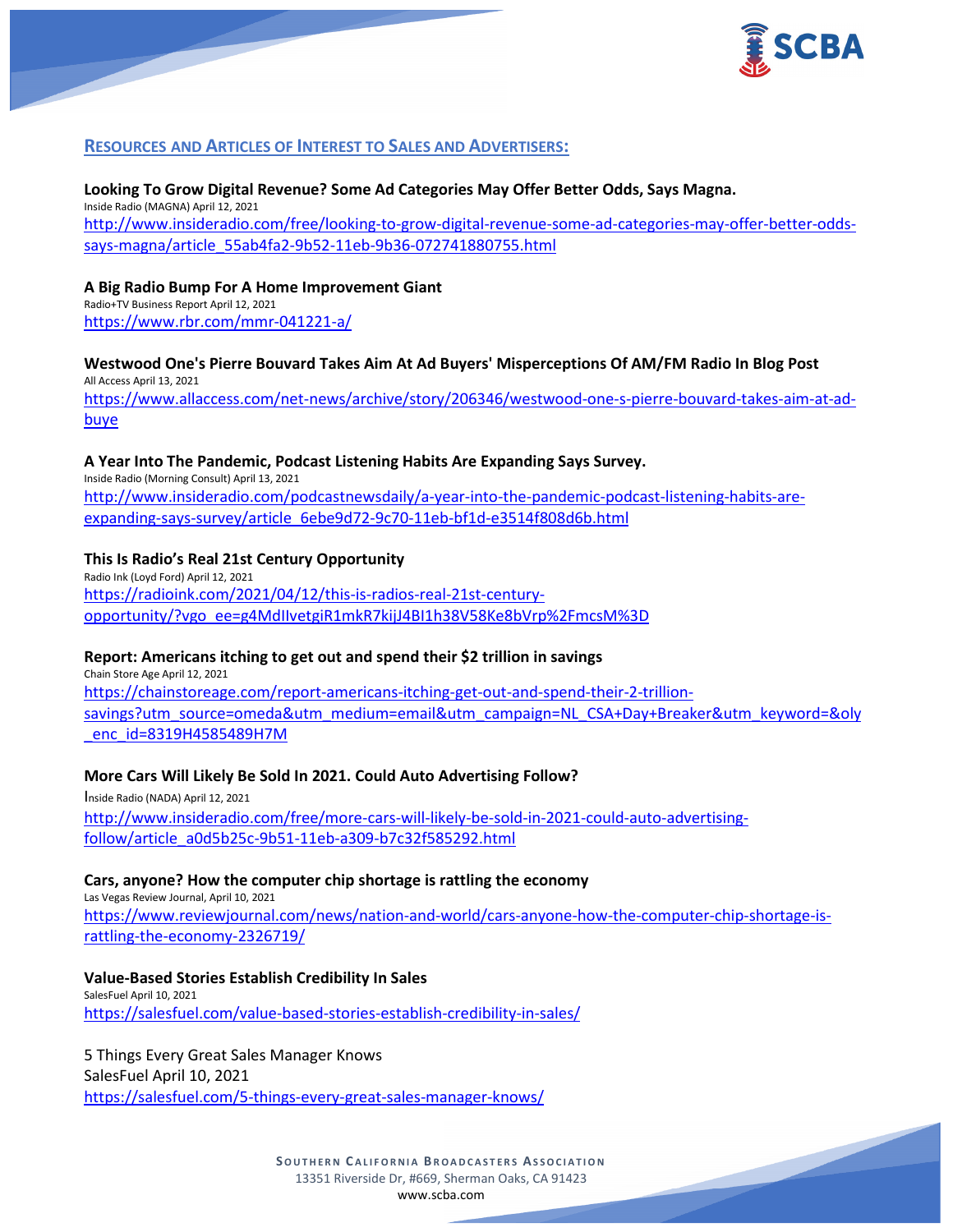

# **RESOURCES AND ARTICLES OF INTEREST TO SALES AND ADVERTISERS:**

### **Looking To Grow Digital Revenue? Some Ad Categories May Offer Better Odds, Says Magna.**

Inside Radio (MAGNA) April 12, 2021 [http://www.insideradio.com/free/looking-to-grow-digital-revenue-some-ad-categories-may-offer-better-odds](http://www.insideradio.com/free/looking-to-grow-digital-revenue-some-ad-categories-may-offer-better-odds-says-magna/article_55ab4fa2-9b52-11eb-9b36-072741880755.html)[says-magna/article\\_55ab4fa2-9b52-11eb-9b36-072741880755.html](http://www.insideradio.com/free/looking-to-grow-digital-revenue-some-ad-categories-may-offer-better-odds-says-magna/article_55ab4fa2-9b52-11eb-9b36-072741880755.html)

### **A Big Radio Bump For A Home Improvement Giant**

Radio+TV Business Report April 12, 2021 <https://www.rbr.com/mmr-041221-a/>

#### **Westwood One's Pierre Bouvard Takes Aim At Ad Buyers' Misperceptions Of AM/FM Radio In Blog Post** All Access April 13, 2021

[https://www.allaccess.com/net-news/archive/story/206346/westwood-one-s-pierre-bouvard-takes-aim-at-ad](https://www.allaccess.com/net-news/archive/story/206346/westwood-one-s-pierre-bouvard-takes-aim-at-ad-buye)[buye](https://www.allaccess.com/net-news/archive/story/206346/westwood-one-s-pierre-bouvard-takes-aim-at-ad-buye)

### **A Year Into The Pandemic, Podcast Listening Habits Are Expanding Says Survey.**

Inside Radio (Morning Consult) April 13, 2021 [http://www.insideradio.com/podcastnewsdaily/a-year-into-the-pandemic-podcast-listening-habits-are](http://www.insideradio.com/podcastnewsdaily/a-year-into-the-pandemic-podcast-listening-habits-are-expanding-says-survey/article_6ebe9d72-9c70-11eb-bf1d-e3514f808d6b.html)[expanding-says-survey/article\\_6ebe9d72-9c70-11eb-bf1d-e3514f808d6b.html](http://www.insideradio.com/podcastnewsdaily/a-year-into-the-pandemic-podcast-listening-habits-are-expanding-says-survey/article_6ebe9d72-9c70-11eb-bf1d-e3514f808d6b.html)

## **This Is Radio's Real 21st Century Opportunity**

Radio Ink (Loyd Ford) April 12, 2021 [https://radioink.com/2021/04/12/this-is-radios-real-21st-century](https://radioink.com/2021/04/12/this-is-radios-real-21st-century-opportunity/?vgo_ee=g4MdIIvetgiR1mkR7kijJ4BI1h38V58Ke8bVrp%2FmcsM%3D)[opportunity/?vgo\\_ee=g4MdIIvetgiR1mkR7kijJ4BI1h38V58Ke8bVrp%2FmcsM%3D](https://radioink.com/2021/04/12/this-is-radios-real-21st-century-opportunity/?vgo_ee=g4MdIIvetgiR1mkR7kijJ4BI1h38V58Ke8bVrp%2FmcsM%3D)

### **Report: Americans itching to get out and spend their \$2 trillion in savings**

Chain Store Age April 12, 2021 [https://chainstoreage.com/report-americans-itching-get-out-and-spend-their-2-trillion](https://chainstoreage.com/report-americans-itching-get-out-and-spend-their-2-trillion-savings?utm_source=omeda&utm_medium=email&utm_campaign=NL_CSA+Day+Breaker&utm_keyword=&oly_enc_id=8319H4585489H7M)[savings?utm\\_source=omeda&utm\\_medium=email&utm\\_campaign=NL\\_CSA+Day+Breaker&utm\\_keyword=&oly](https://chainstoreage.com/report-americans-itching-get-out-and-spend-their-2-trillion-savings?utm_source=omeda&utm_medium=email&utm_campaign=NL_CSA+Day+Breaker&utm_keyword=&oly_enc_id=8319H4585489H7M) [\\_enc\\_id=8319H4585489H7M](https://chainstoreage.com/report-americans-itching-get-out-and-spend-their-2-trillion-savings?utm_source=omeda&utm_medium=email&utm_campaign=NL_CSA+Day+Breaker&utm_keyword=&oly_enc_id=8319H4585489H7M)

### **More Cars Will Likely Be Sold In 2021. Could Auto Advertising Follow?**

Inside Radio (NADA) April 12, 2021 [http://www.insideradio.com/free/more-cars-will-likely-be-sold-in-2021-could-auto-advertising](http://www.insideradio.com/free/more-cars-will-likely-be-sold-in-2021-could-auto-advertising-follow/article_a0d5b25c-9b51-11eb-a309-b7c32f585292.html)[follow/article\\_a0d5b25c-9b51-11eb-a309-b7c32f585292.html](http://www.insideradio.com/free/more-cars-will-likely-be-sold-in-2021-could-auto-advertising-follow/article_a0d5b25c-9b51-11eb-a309-b7c32f585292.html)

### **Cars, anyone? How the computer chip shortage is rattling the economy**

Las Vegas Review Journal, April 10, 2021 [https://www.reviewjournal.com/news/nation-and-world/cars-anyone-how-the-computer-chip-shortage-is](https://www.reviewjournal.com/news/nation-and-world/cars-anyone-how-the-computer-chip-shortage-is-rattling-the-economy-2326719/)[rattling-the-economy-2326719/](https://www.reviewjournal.com/news/nation-and-world/cars-anyone-how-the-computer-chip-shortage-is-rattling-the-economy-2326719/)

## **Value-Based Stories Establish Credibility In Sales**

SalesFuel April 10, 2021 <https://salesfuel.com/value-based-stories-establish-credibility-in-sales/>

5 Things Every Great Sales Manager Knows SalesFuel April 10, 2021 <https://salesfuel.com/5-things-every-great-sales-manager-knows/>

> **SOUTHERN C ALIFORNIA B ROADCASTERS ASSOCIATION** 13351 Riverside Dr, #669, Sherman Oaks, CA 91423 [www.scba.com](http://www.scba.com/)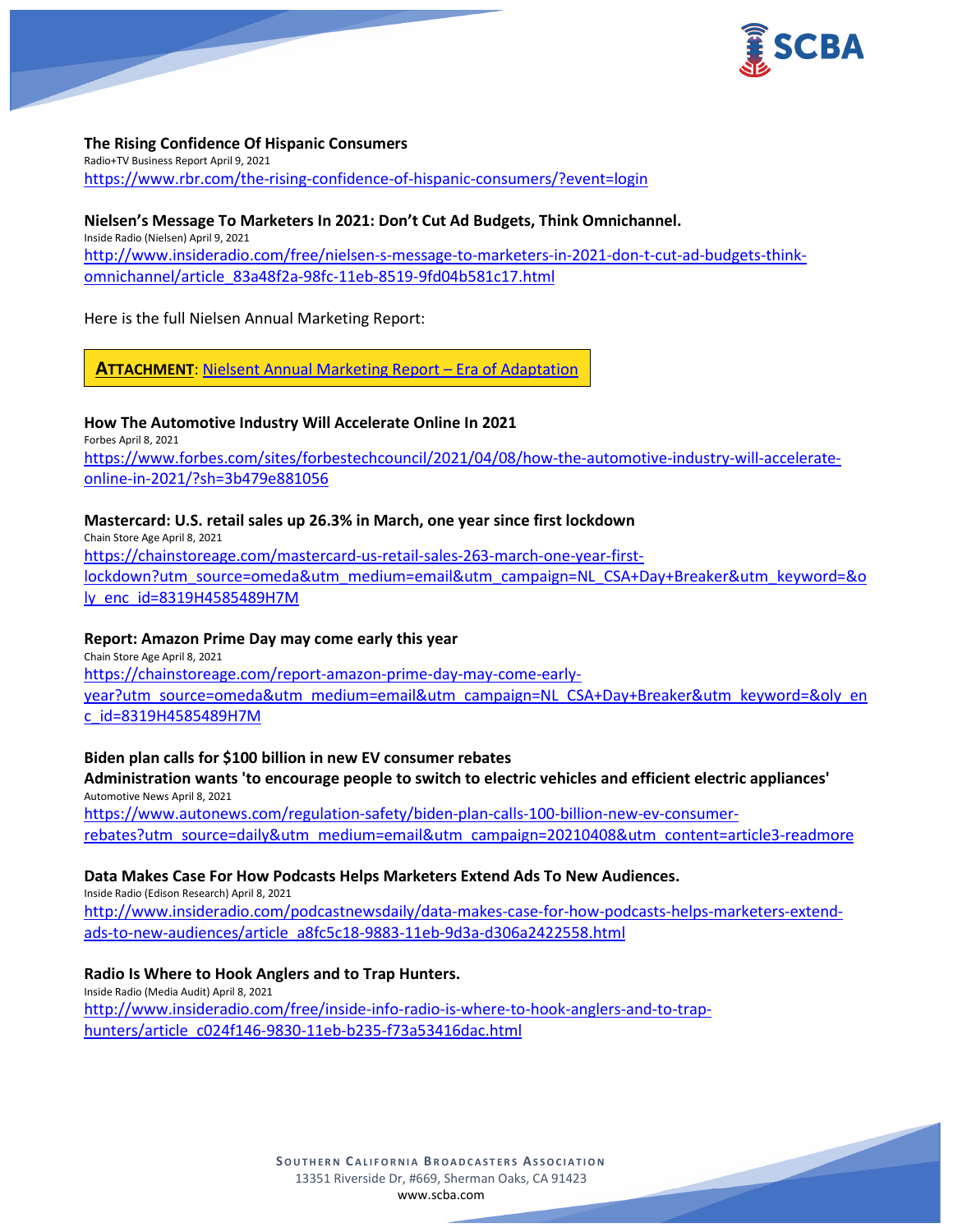

**The Rising Confidence Of Hispanic Consumers** Radio+TV Business Report April 9, 2021 <https://www.rbr.com/the-rising-confidence-of-hispanic-consumers/?event=login>

# **Nielsen's Message To Marketers In 2021: Don't Cut Ad Budgets, Think Omnichannel.**

Inside Radio (Nielsen) April 9, 2021 [http://www.insideradio.com/free/nielsen-s-message-to-marketers-in-2021-don-t-cut-ad-budgets-think](http://www.insideradio.com/free/nielsen-s-message-to-marketers-in-2021-don-t-cut-ad-budgets-think-omnichannel/article_83a48f2a-98fc-11eb-8519-9fd04b581c17.html)[omnichannel/article\\_83a48f2a-98fc-11eb-8519-9fd04b581c17.html](http://www.insideradio.com/free/nielsen-s-message-to-marketers-in-2021-don-t-cut-ad-budgets-think-omnichannel/article_83a48f2a-98fc-11eb-8519-9fd04b581c17.html)

Here is the full Nielsen Annual Marketing Report:

**ATTACHMENT**: [Nielsent](https://scba.com/nielsen_annual_marketing_report_era_of_adaptation_2020_2021_final/) Annual Marketing Report – Era of Adaptation

## **How The Automotive Industry Will Accelerate Online In 2021**

Forbes April 8, 2021 [https://www.forbes.com/sites/forbestechcouncil/2021/04/08/how-the-automotive-industry-will-accelerate](https://www.forbes.com/sites/forbestechcouncil/2021/04/08/how-the-automotive-industry-will-accelerate-online-in-2021/?sh=3b479e881056)[online-in-2021/?sh=3b479e881056](https://www.forbes.com/sites/forbestechcouncil/2021/04/08/how-the-automotive-industry-will-accelerate-online-in-2021/?sh=3b479e881056)

### **Mastercard: U.S. retail sales up 26.3% in March, one year since first lockdown**

Chain Store Age April 8, 2021 [https://chainstoreage.com/mastercard-us-retail-sales-263-march-one-year-first](https://chainstoreage.com/mastercard-us-retail-sales-263-march-one-year-first-lockdown?utm_source=omeda&utm_medium=email&utm_campaign=NL_CSA+Day+Breaker&utm_keyword=&oly_enc_id=8319H4585489H7M)[lockdown?utm\\_source=omeda&utm\\_medium=email&utm\\_campaign=NL\\_CSA+Day+Breaker&utm\\_keyword=&o](https://chainstoreage.com/mastercard-us-retail-sales-263-march-one-year-first-lockdown?utm_source=omeda&utm_medium=email&utm_campaign=NL_CSA+Day+Breaker&utm_keyword=&oly_enc_id=8319H4585489H7M) [ly\\_enc\\_id=8319H4585489H7M](https://chainstoreage.com/mastercard-us-retail-sales-263-march-one-year-first-lockdown?utm_source=omeda&utm_medium=email&utm_campaign=NL_CSA+Day+Breaker&utm_keyword=&oly_enc_id=8319H4585489H7M)

## **Report: Amazon Prime Day may come early this year**

Chain Store Age April 8, 2021 [https://chainstoreage.com/report-amazon-prime-day-may-come-early](https://chainstoreage.com/report-amazon-prime-day-may-come-early-year?utm_source=omeda&utm_medium=email&utm_campaign=NL_CSA+Day+Breaker&utm_keyword=&oly_enc_id=8319H4585489H7M)[year?utm\\_source=omeda&utm\\_medium=email&utm\\_campaign=NL\\_CSA+Day+Breaker&utm\\_keyword=&oly\\_en](https://chainstoreage.com/report-amazon-prime-day-may-come-early-year?utm_source=omeda&utm_medium=email&utm_campaign=NL_CSA+Day+Breaker&utm_keyword=&oly_enc_id=8319H4585489H7M) [c\\_id=8319H4585489H7M](https://chainstoreage.com/report-amazon-prime-day-may-come-early-year?utm_source=omeda&utm_medium=email&utm_campaign=NL_CSA+Day+Breaker&utm_keyword=&oly_enc_id=8319H4585489H7M)

## **Biden plan calls for \$100 billion in new EV consumer rebates**

**Administration wants 'to encourage people to switch to electric vehicles and efficient electric appliances'** Automotive News April 8, 2021

[https://www.autonews.com/regulation-safety/biden-plan-calls-100-billion-new-ev-consumer](https://www.autonews.com/regulation-safety/biden-plan-calls-100-billion-new-ev-consumer-rebates?utm_source=daily&utm_medium=email&utm_campaign=20210408&utm_content=article3-readmore)[rebates?utm\\_source=daily&utm\\_medium=email&utm\\_campaign=20210408&utm\\_content=article3-readmore](https://www.autonews.com/regulation-safety/biden-plan-calls-100-billion-new-ev-consumer-rebates?utm_source=daily&utm_medium=email&utm_campaign=20210408&utm_content=article3-readmore)

## **Data Makes Case For How Podcasts Helps Marketers Extend Ads To New Audiences.**

Inside Radio (Edison Research) April 8, 2021 [http://www.insideradio.com/podcastnewsdaily/data-makes-case-for-how-podcasts-helps-marketers-extend](http://www.insideradio.com/podcastnewsdaily/data-makes-case-for-how-podcasts-helps-marketers-extend-ads-to-new-audiences/article_a8fc5c18-9883-11eb-9d3a-d306a2422558.html)[ads-to-new-audiences/article\\_a8fc5c18-9883-11eb-9d3a-d306a2422558.html](http://www.insideradio.com/podcastnewsdaily/data-makes-case-for-how-podcasts-helps-marketers-extend-ads-to-new-audiences/article_a8fc5c18-9883-11eb-9d3a-d306a2422558.html)

## **Radio Is Where to Hook Anglers and to Trap Hunters.**

Inside Radio (Media Audit) April 8, 2021 [http://www.insideradio.com/free/inside-info-radio-is-where-to-hook-anglers-and-to-trap](http://www.insideradio.com/free/inside-info-radio-is-where-to-hook-anglers-and-to-trap-hunters/article_c024f146-9830-11eb-b235-f73a53416dac.html)[hunters/article\\_c024f146-9830-11eb-b235-f73a53416dac.html](http://www.insideradio.com/free/inside-info-radio-is-where-to-hook-anglers-and-to-trap-hunters/article_c024f146-9830-11eb-b235-f73a53416dac.html)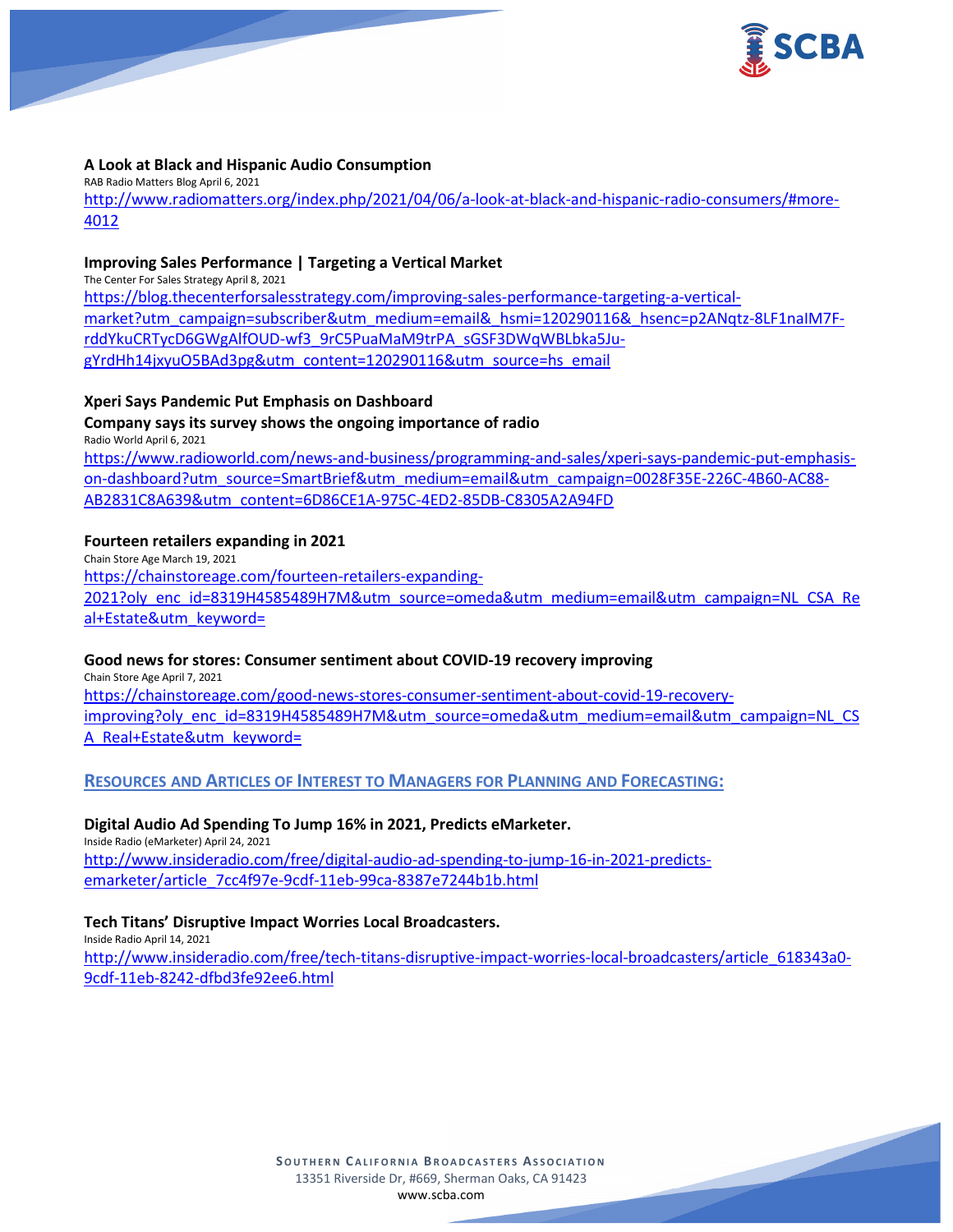

## **A Look at Black and Hispanic Audio Consumption**

RAB Radio Matters Blog April 6, 2021

[http://www.radiomatters.org/index.php/2021/04/06/a-look-at-black-and-hispanic-radio-consumers/#more-](http://www.radiomatters.org/index.php/2021/04/06/a-look-at-black-and-hispanic-radio-consumers/#more-4012)[4012](http://www.radiomatters.org/index.php/2021/04/06/a-look-at-black-and-hispanic-radio-consumers/#more-4012)

### **Improving Sales Performance | Targeting a Vertical Market**

The Center For Sales Strategy April 8, 2021

[https://blog.thecenterforsalesstrategy.com/improving-sales-performance-targeting-a-vertical](https://blog.thecenterforsalesstrategy.com/improving-sales-performance-targeting-a-vertical-market?utm_campaign=subscriber&utm_medium=email&_hsmi=120290116&_hsenc=p2ANqtz-8LF1naIM7F-rddYkuCRTycD6GWgAlfOUD-wf3_9rC5PuaMaM9trPA_sGSF3DWqWBLbka5Ju-gYrdHh14jxyuO5BAd3pg&utm_content=120290116&utm_source=hs_email)[market?utm\\_campaign=subscriber&utm\\_medium=email&\\_hsmi=120290116&\\_hsenc=p2ANqtz-8LF1naIM7F](https://blog.thecenterforsalesstrategy.com/improving-sales-performance-targeting-a-vertical-market?utm_campaign=subscriber&utm_medium=email&_hsmi=120290116&_hsenc=p2ANqtz-8LF1naIM7F-rddYkuCRTycD6GWgAlfOUD-wf3_9rC5PuaMaM9trPA_sGSF3DWqWBLbka5Ju-gYrdHh14jxyuO5BAd3pg&utm_content=120290116&utm_source=hs_email)[rddYkuCRTycD6GWgAlfOUD-wf3\\_9rC5PuaMaM9trPA\\_sGSF3DWqWBLbka5Ju](https://blog.thecenterforsalesstrategy.com/improving-sales-performance-targeting-a-vertical-market?utm_campaign=subscriber&utm_medium=email&_hsmi=120290116&_hsenc=p2ANqtz-8LF1naIM7F-rddYkuCRTycD6GWgAlfOUD-wf3_9rC5PuaMaM9trPA_sGSF3DWqWBLbka5Ju-gYrdHh14jxyuO5BAd3pg&utm_content=120290116&utm_source=hs_email)[gYrdHh14jxyuO5BAd3pg&utm\\_content=120290116&utm\\_source=hs\\_email](https://blog.thecenterforsalesstrategy.com/improving-sales-performance-targeting-a-vertical-market?utm_campaign=subscriber&utm_medium=email&_hsmi=120290116&_hsenc=p2ANqtz-8LF1naIM7F-rddYkuCRTycD6GWgAlfOUD-wf3_9rC5PuaMaM9trPA_sGSF3DWqWBLbka5Ju-gYrdHh14jxyuO5BAd3pg&utm_content=120290116&utm_source=hs_email)

### **Xperi Says Pandemic Put Emphasis on Dashboard**

**Company says its survey shows the ongoing importance of radio** Radio World April 6, 2021

[https://www.radioworld.com/news-and-business/programming-and-sales/xperi-says-pandemic-put-emphasis](https://www.radioworld.com/news-and-business/programming-and-sales/xperi-says-pandemic-put-emphasis-on-dashboard?utm_source=SmartBrief&utm_medium=email&utm_campaign=0028F35E-226C-4B60-AC88-AB2831C8A639&utm_content=6D86CE1A-975C-4ED2-85DB-C8305A2A94FD)[on-dashboard?utm\\_source=SmartBrief&utm\\_medium=email&utm\\_campaign=0028F35E-226C-4B60-AC88-](https://www.radioworld.com/news-and-business/programming-and-sales/xperi-says-pandemic-put-emphasis-on-dashboard?utm_source=SmartBrief&utm_medium=email&utm_campaign=0028F35E-226C-4B60-AC88-AB2831C8A639&utm_content=6D86CE1A-975C-4ED2-85DB-C8305A2A94FD) [AB2831C8A639&utm\\_content=6D86CE1A-975C-4ED2-85DB-C8305A2A94FD](https://www.radioworld.com/news-and-business/programming-and-sales/xperi-says-pandemic-put-emphasis-on-dashboard?utm_source=SmartBrief&utm_medium=email&utm_campaign=0028F35E-226C-4B60-AC88-AB2831C8A639&utm_content=6D86CE1A-975C-4ED2-85DB-C8305A2A94FD)

### **Fourteen retailers expanding in 2021**

Chain Store Age March 19, 2021 [https://chainstoreage.com/fourteen-retailers-expanding-](https://chainstoreage.com/fourteen-retailers-expanding-2021?oly_enc_id=8319H4585489H7M&utm_source=omeda&utm_medium=email&utm_campaign=NL_CSA_Real+Estate&utm_keyword=)[2021?oly\\_enc\\_id=8319H4585489H7M&utm\\_source=omeda&utm\\_medium=email&utm\\_campaign=NL\\_CSA\\_Re](https://chainstoreage.com/fourteen-retailers-expanding-2021?oly_enc_id=8319H4585489H7M&utm_source=omeda&utm_medium=email&utm_campaign=NL_CSA_Real+Estate&utm_keyword=) [al+Estate&utm\\_keyword=](https://chainstoreage.com/fourteen-retailers-expanding-2021?oly_enc_id=8319H4585489H7M&utm_source=omeda&utm_medium=email&utm_campaign=NL_CSA_Real+Estate&utm_keyword=)

### **Good news for stores: Consumer sentiment about COVID-19 recovery improving**

Chain Store Age April 7, 2021

[https://chainstoreage.com/good-news-stores-consumer-sentiment-about-covid-19-recovery](https://chainstoreage.com/good-news-stores-consumer-sentiment-about-covid-19-recovery-improving?oly_enc_id=8319H4585489H7M&utm_source=omeda&utm_medium=email&utm_campaign=NL_CSA_Real+Estate&utm_keyword=)[improving?oly\\_enc\\_id=8319H4585489H7M&utm\\_source=omeda&utm\\_medium=email&utm\\_campaign=NL\\_CS](https://chainstoreage.com/good-news-stores-consumer-sentiment-about-covid-19-recovery-improving?oly_enc_id=8319H4585489H7M&utm_source=omeda&utm_medium=email&utm_campaign=NL_CSA_Real+Estate&utm_keyword=) [A\\_Real+Estate&utm\\_keyword=](https://chainstoreage.com/good-news-stores-consumer-sentiment-about-covid-19-recovery-improving?oly_enc_id=8319H4585489H7M&utm_source=omeda&utm_medium=email&utm_campaign=NL_CSA_Real+Estate&utm_keyword=)

**RESOURCES AND ARTICLES OF INTEREST TO MANAGERS FOR PLANNING AND FORECASTING:**

## **Digital Audio Ad Spending To Jump 16% in 2021, Predicts eMarketer.**

Inside Radio (eMarketer) April 24, 2021 [http://www.insideradio.com/free/digital-audio-ad-spending-to-jump-16-in-2021-predicts](http://www.insideradio.com/free/digital-audio-ad-spending-to-jump-16-in-2021-predicts-emarketer/article_7cc4f97e-9cdf-11eb-99ca-8387e7244b1b.html)[emarketer/article\\_7cc4f97e-9cdf-11eb-99ca-8387e7244b1b.html](http://www.insideradio.com/free/digital-audio-ad-spending-to-jump-16-in-2021-predicts-emarketer/article_7cc4f97e-9cdf-11eb-99ca-8387e7244b1b.html)

### **Tech Titans' Disruptive Impact Worries Local Broadcasters.**

Inside Radio April 14, 2021 [http://www.insideradio.com/free/tech-titans-disruptive-impact-worries-local-broadcasters/article\\_618343a0-](http://www.insideradio.com/free/tech-titans-disruptive-impact-worries-local-broadcasters/article_618343a0-9cdf-11eb-8242-dfbd3fe92ee6.html) [9cdf-11eb-8242-dfbd3fe92ee6.html](http://www.insideradio.com/free/tech-titans-disruptive-impact-worries-local-broadcasters/article_618343a0-9cdf-11eb-8242-dfbd3fe92ee6.html)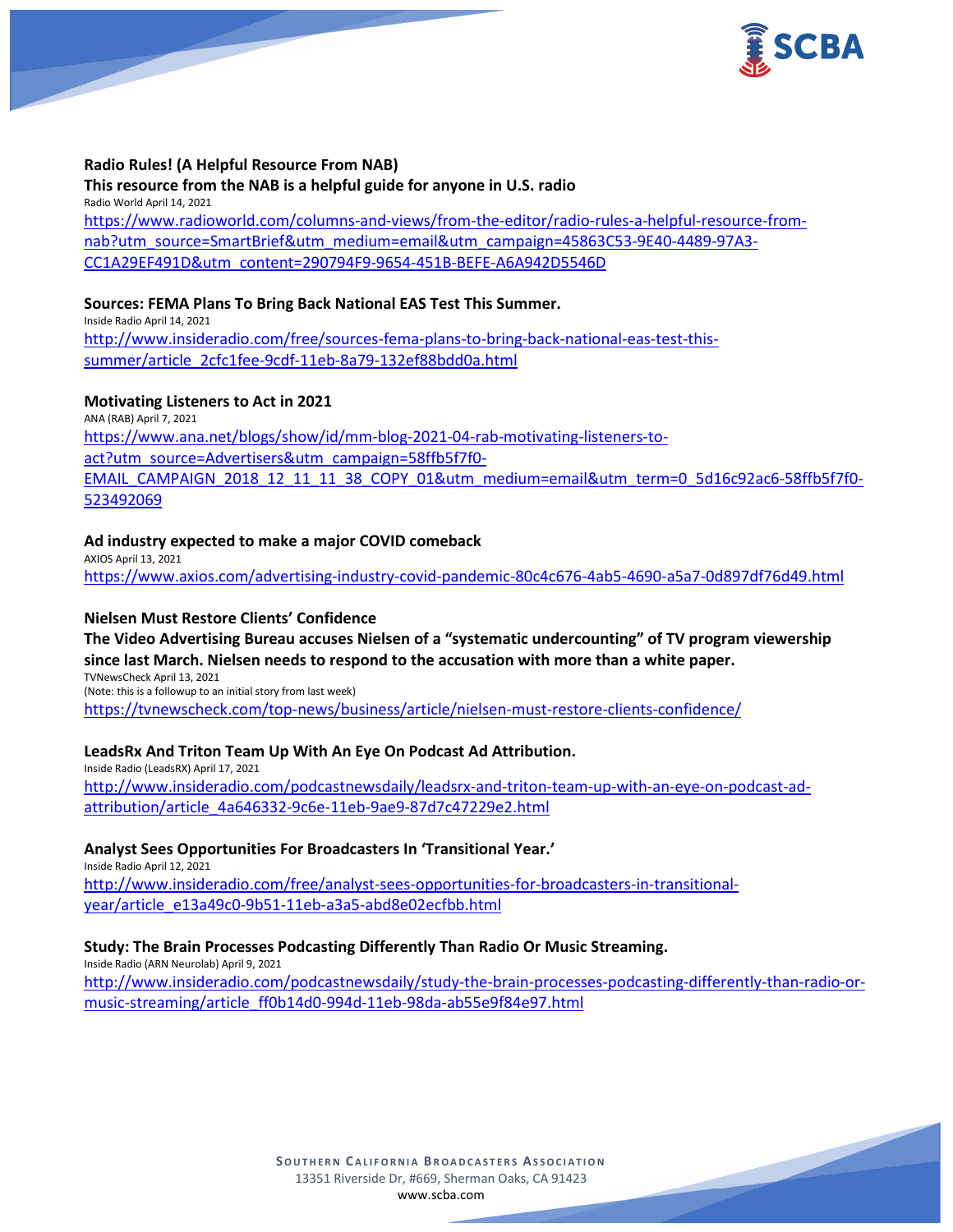

#### **Radio Rules! (A Helpful Resource From NAB)**

### **This resource from the NAB is a helpful guide for anyone in U.S. radio** Radio World April 14, 2021 [https://www.radioworld.com/columns-and-views/from-the-editor/radio-rules-a-helpful-resource-from](https://www.radioworld.com/columns-and-views/from-the-editor/radio-rules-a-helpful-resource-from-nab?utm_source=SmartBrief&utm_medium=email&utm_campaign=45863C53-9E40-4489-97A3-CC1A29EF491D&utm_content=290794F9-9654-451B-BEFE-A6A942D5546D)[nab?utm\\_source=SmartBrief&utm\\_medium=email&utm\\_campaign=45863C53-9E40-4489-97A3-](https://www.radioworld.com/columns-and-views/from-the-editor/radio-rules-a-helpful-resource-from-nab?utm_source=SmartBrief&utm_medium=email&utm_campaign=45863C53-9E40-4489-97A3-CC1A29EF491D&utm_content=290794F9-9654-451B-BEFE-A6A942D5546D) [CC1A29EF491D&utm\\_content=290794F9-9654-451B-BEFE-A6A942D5546D](https://www.radioworld.com/columns-and-views/from-the-editor/radio-rules-a-helpful-resource-from-nab?utm_source=SmartBrief&utm_medium=email&utm_campaign=45863C53-9E40-4489-97A3-CC1A29EF491D&utm_content=290794F9-9654-451B-BEFE-A6A942D5546D)

#### **Sources: FEMA Plans To Bring Back National EAS Test This Summer.**

Inside Radio April 14, 2021 [http://www.insideradio.com/free/sources-fema-plans-to-bring-back-national-eas-test-this](http://www.insideradio.com/free/sources-fema-plans-to-bring-back-national-eas-test-this-summer/article_2cfc1fee-9cdf-11eb-8a79-132ef88bdd0a.html)[summer/article\\_2cfc1fee-9cdf-11eb-8a79-132ef88bdd0a.html](http://www.insideradio.com/free/sources-fema-plans-to-bring-back-national-eas-test-this-summer/article_2cfc1fee-9cdf-11eb-8a79-132ef88bdd0a.html)

### **Motivating Listeners to Act in 2021**

ANA (RAB) April 7, 2021 [https://www.ana.net/blogs/show/id/mm-blog-2021-04-rab-motivating-listeners-to](https://www.ana.net/blogs/show/id/mm-blog-2021-04-rab-motivating-listeners-to-act?utm_source=Advertisers&utm_campaign=58ffb5f7f0-EMAIL_CAMPAIGN_2018_12_11_11_38_COPY_01&utm_medium=email&utm_term=0_5d16c92ac6-58ffb5f7f0-523492069)[act?utm\\_source=Advertisers&utm\\_campaign=58ffb5f7f0-](https://www.ana.net/blogs/show/id/mm-blog-2021-04-rab-motivating-listeners-to-act?utm_source=Advertisers&utm_campaign=58ffb5f7f0-EMAIL_CAMPAIGN_2018_12_11_11_38_COPY_01&utm_medium=email&utm_term=0_5d16c92ac6-58ffb5f7f0-523492069) [EMAIL\\_CAMPAIGN\\_2018\\_12\\_11\\_11\\_38\\_COPY\\_01&utm\\_medium=email&utm\\_term=0\\_5d16c92ac6-58ffb5f7f0-](https://www.ana.net/blogs/show/id/mm-blog-2021-04-rab-motivating-listeners-to-act?utm_source=Advertisers&utm_campaign=58ffb5f7f0-EMAIL_CAMPAIGN_2018_12_11_11_38_COPY_01&utm_medium=email&utm_term=0_5d16c92ac6-58ffb5f7f0-523492069) [523492069](https://www.ana.net/blogs/show/id/mm-blog-2021-04-rab-motivating-listeners-to-act?utm_source=Advertisers&utm_campaign=58ffb5f7f0-EMAIL_CAMPAIGN_2018_12_11_11_38_COPY_01&utm_medium=email&utm_term=0_5d16c92ac6-58ffb5f7f0-523492069)

#### **Ad industry expected to make a major COVID comeback**

AXIOS April 13, 2021 <https://www.axios.com/advertising-industry-covid-pandemic-80c4c676-4ab5-4690-a5a7-0d897df76d49.html>

### **Nielsen Must Restore Clients' Confidence**

**The Video Advertising Bureau accuses Nielsen of a "systematic undercounting" of TV program viewership since last March. Nielsen needs to respond to the accusation with more than a white paper.** TVNewsCheck April 13, 2021 (Note: this is a followup to an initial story from last week)

<https://tvnewscheck.com/top-news/business/article/nielsen-must-restore-clients-confidence/>

### **LeadsRx And Triton Team Up With An Eye On Podcast Ad Attribution.**

Inside Radio (LeadsRX) April 17, 2021 [http://www.insideradio.com/podcastnewsdaily/leadsrx-and-triton-team-up-with-an-eye-on-podcast-ad](http://www.insideradio.com/podcastnewsdaily/leadsrx-and-triton-team-up-with-an-eye-on-podcast-ad-attribution/article_4a646332-9c6e-11eb-9ae9-87d7c47229e2.html)[attribution/article\\_4a646332-9c6e-11eb-9ae9-87d7c47229e2.html](http://www.insideradio.com/podcastnewsdaily/leadsrx-and-triton-team-up-with-an-eye-on-podcast-ad-attribution/article_4a646332-9c6e-11eb-9ae9-87d7c47229e2.html)

### **Analyst Sees Opportunities For Broadcasters In 'Transitional Year.'**

Inside Radio April 12, 2021 [http://www.insideradio.com/free/analyst-sees-opportunities-for-broadcasters-in-transitional](http://www.insideradio.com/free/analyst-sees-opportunities-for-broadcasters-in-transitional-year/article_e13a49c0-9b51-11eb-a3a5-abd8e02ecfbb.html)[year/article\\_e13a49c0-9b51-11eb-a3a5-abd8e02ecfbb.html](http://www.insideradio.com/free/analyst-sees-opportunities-for-broadcasters-in-transitional-year/article_e13a49c0-9b51-11eb-a3a5-abd8e02ecfbb.html)

#### **Study: The Brain Processes Podcasting Differently Than Radio Or Music Streaming.**

Inside Radio (ARN Neurolab) April 9, 2021 [http://www.insideradio.com/podcastnewsdaily/study-the-brain-processes-podcasting-differently-than-radio-or](http://www.insideradio.com/podcastnewsdaily/study-the-brain-processes-podcasting-differently-than-radio-or-music-streaming/article_ff0b14d0-994d-11eb-98da-ab55e9f84e97.html)[music-streaming/article\\_ff0b14d0-994d-11eb-98da-ab55e9f84e97.html](http://www.insideradio.com/podcastnewsdaily/study-the-brain-processes-podcasting-differently-than-radio-or-music-streaming/article_ff0b14d0-994d-11eb-98da-ab55e9f84e97.html)